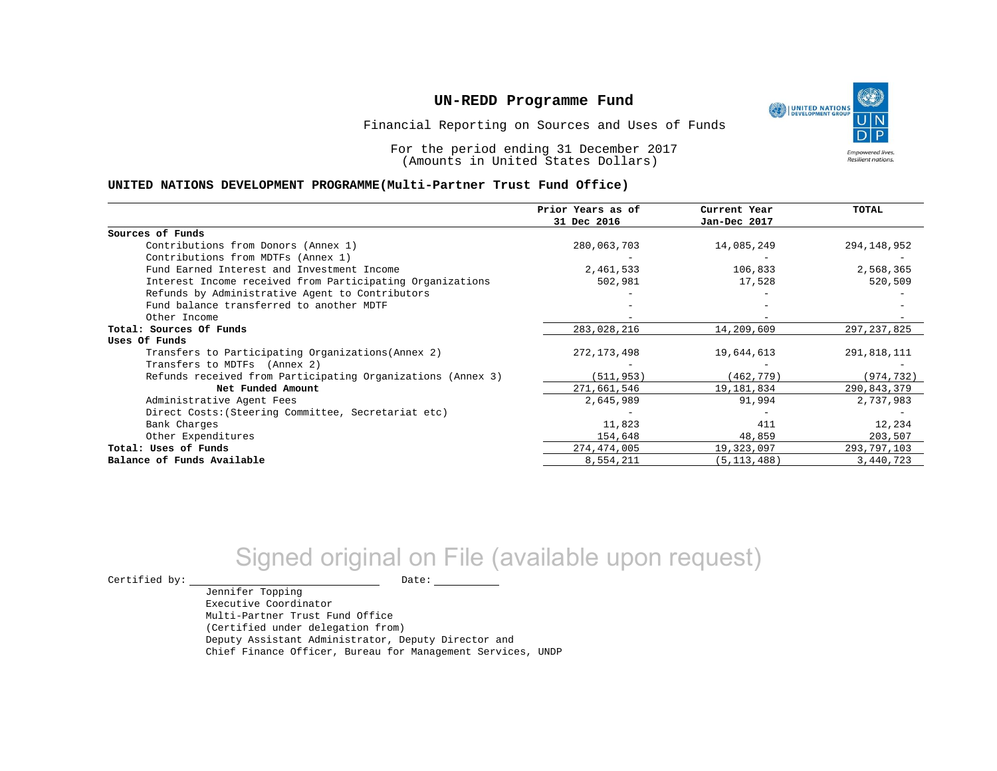

Financial Reporting on Sources and Uses of Funds

For the period ending 31 December 2017 (Amounts in United States Dollars)

#### **UNITED NATIONS DEVELOPMENT PROGRAMME(Multi-Partner Trust Fund Office)**

|                                                             | Prior Years as of | Current Year  | <b>TOTAL</b>  |
|-------------------------------------------------------------|-------------------|---------------|---------------|
|                                                             | 31 Dec 2016       | Jan-Dec 2017  |               |
| Sources of Funds                                            |                   |               |               |
| Contributions from Donors (Annex 1)                         | 280,063,703       | 14,085,249    | 294,148,952   |
| Contributions from MDTFs (Annex 1)                          |                   |               |               |
| Fund Earned Interest and Investment Income                  | 2,461,533         | 106,833       | 2,568,365     |
| Interest Income received from Participating Organizations   | 502,981           | 17,528        | 520,509       |
| Refunds by Administrative Agent to Contributors             |                   |               |               |
| Fund balance transferred to another MDTF                    |                   |               |               |
| Other Income                                                |                   |               |               |
| Total: Sources Of Funds                                     | 283,028,216       | 14,209,609    | 297, 237, 825 |
| Uses Of Funds                                               |                   |               |               |
| Transfers to Participating Organizations (Annex 2)          | 272,173,498       | 19,644,613    | 291,818,111   |
| Transfers to MDTFs (Annex 2)                                |                   |               |               |
| Refunds received from Participating Organizations (Annex 3) | (511, 953)        | (462, 779)    | (974, 732)    |
| Net Funded Amount                                           | 271,661,546       | 19,181,834    | 290,843,379   |
| Administrative Agent Fees                                   | 2,645,989         | 91,994        | 2,737,983     |
| Direct Costs: (Steering Committee, Secretariat etc)         |                   |               |               |
| Bank Charges                                                | 11,823            | 411           | 12,234        |
| Other Expenditures                                          | 154,648           | 48,859        | 203,507       |
| Total: Uses of Funds                                        | 274,474,005       | 19,323,097    | 293,797,103   |
| Balance of Funds Available                                  | 8,554,211         | (5, 113, 488) | 3,440,723     |

# Signed original on File (available upon request)

Jennifer Topping

 $\begin{picture}(180,180)(0,0) \put(0,0){\vector(1,0){180}} \put(15,0){\vector(1,0){180}} \put(15,0){\vector(1,0){180}} \put(15,0){\vector(1,0){180}} \put(15,0){\vector(1,0){180}} \put(15,0){\vector(1,0){180}} \put(15,0){\vector(1,0){180}} \put(15,0){\vector(1,0){180}} \put(15,0){\vector(1,0){180}} \put(15,0){\vector(1,0){180}} \put(15,0){\vector(1,0$ 

Executive Coordinator Multi-Partner Trust Fund Office (Certified under delegation from) Deputy Assistant Administrator, Deputy Director and Chief Finance Officer, Bureau for Management Services, UNDP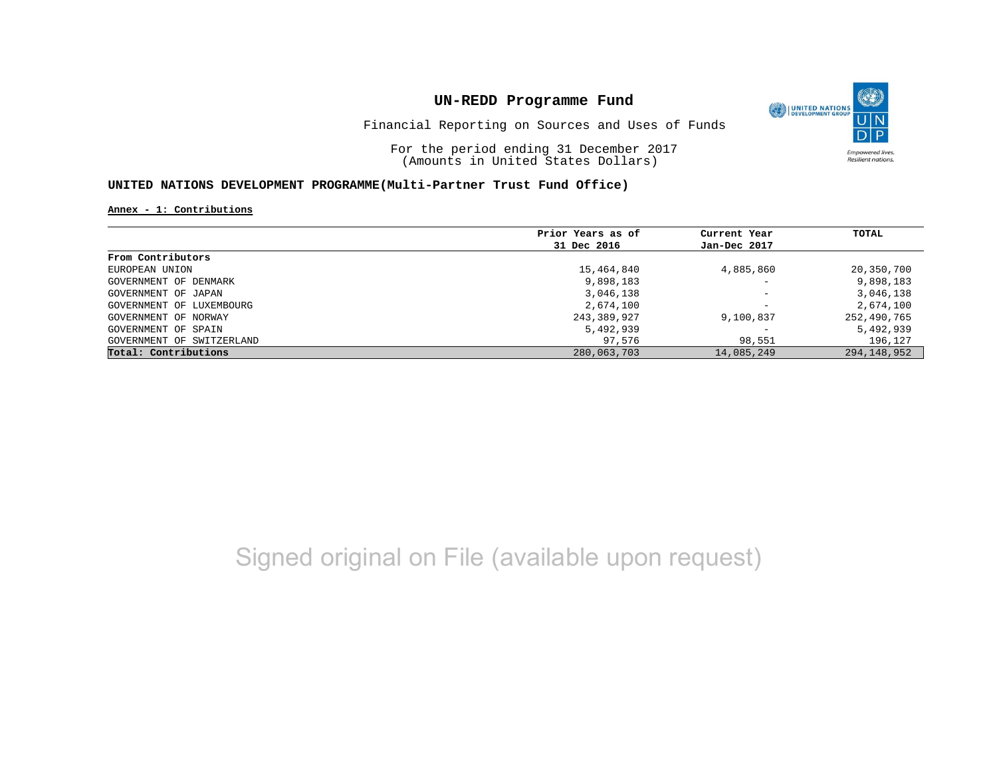

Financial Reporting on Sources and Uses of Funds

For the period ending 31 December 2017 (Amounts in United States Dollars)

### **UNITED NATIONS DEVELOPMENT PROGRAMME(Multi-Partner Trust Fund Office)**

**Annex - 1: Contributions**

|                           | Prior Years as of | Current Year             | TOTAL         |
|---------------------------|-------------------|--------------------------|---------------|
|                           | 31 Dec 2016       | Jan-Dec 2017             |               |
| From Contributors         |                   |                          |               |
| EUROPEAN UNION            | 15,464,840        | 4,885,860                | 20,350,700    |
| GOVERNMENT OF DENMARK     | 9,898,183         | $\overline{\phantom{a}}$ | 9,898,183     |
| GOVERNMENT OF JAPAN       | 3,046,138         | $\qquad \qquad -$        | 3,046,138     |
| GOVERNMENT OF LUXEMBOURG  | 2,674,100         | $\overline{\phantom{0}}$ | 2,674,100     |
| GOVERNMENT OF NORWAY      | 243,389,927       | 9,100,837                | 252,490,765   |
| GOVERNMENT OF SPAIN       | 5,492,939         | $\overline{\phantom{0}}$ | 5,492,939     |
| GOVERNMENT OF SWITZERLAND | 97,576            | 98,551                   | 196,127       |
| Total: Contributions      | 280,063,703       | 14,085,249               | 294, 148, 952 |

## Signed original on File (available upon request)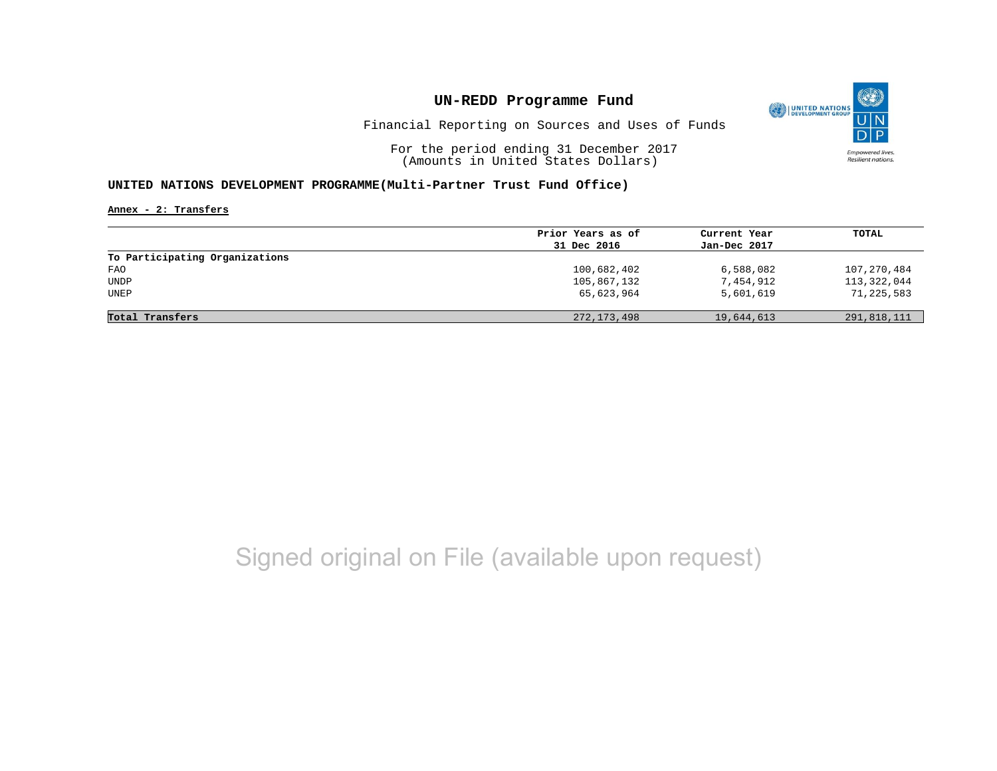

Financial Reporting on Sources and Uses of Funds

For the period ending 31 December 2017 (Amounts in United States Dollars)

### **UNITED NATIONS DEVELOPMENT PROGRAMME(Multi-Partner Trust Fund Office)**

**Annex - 2: Transfers**

|                                | Prior Years as of | Current Year | TOTAL       |
|--------------------------------|-------------------|--------------|-------------|
|                                | 31 Dec 2016       | Jan-Dec 2017 |             |
| To Participating Organizations |                   |              |             |
| FAO                            | 100,682,402       | 6,588,082    | 107,270,484 |
| <b>UNDP</b>                    | 105,867,132       | 7,454,912    | 113,322,044 |
| UNEP                           | 65,623,964        | 5,601,619    | 71,225,583  |
|                                |                   |              |             |
| Total Transfers                | 272, 173, 498     | 19,644,613   | 291,818,111 |

## Signed original on File (available upon request)